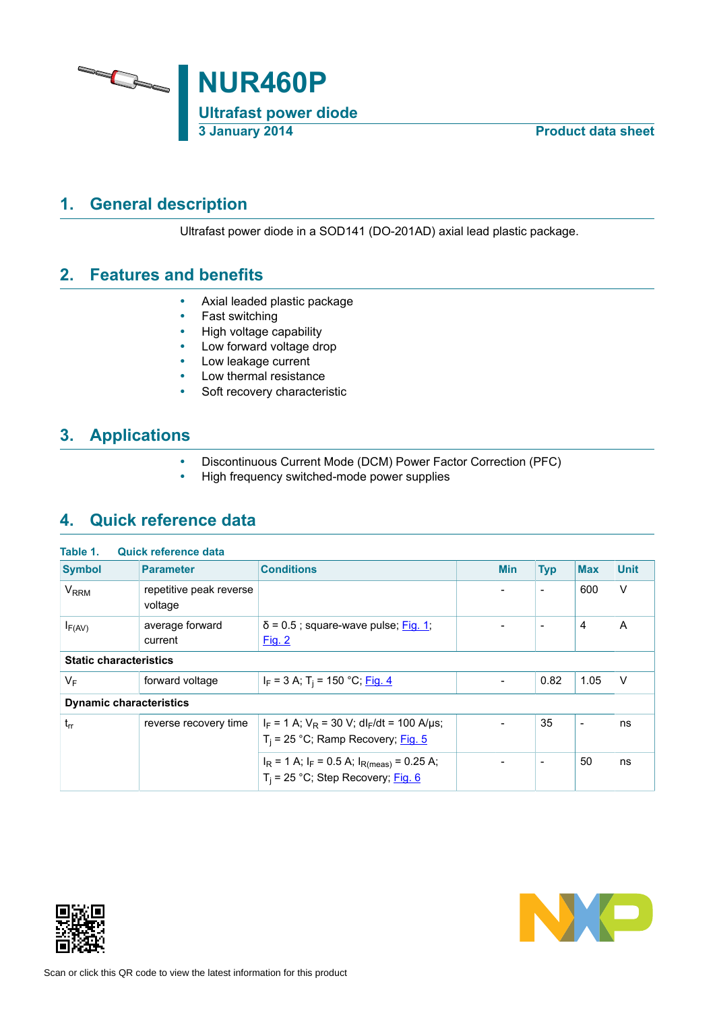

# **1. General description**

<span id="page-0-0"></span>Ultrafast power diode in a SOD141 (DO-201AD) axial lead plastic package.

# **2. Features and benefits**

- <span id="page-0-1"></span>• Axial leaded plastic package
- Fast switching
- High voltage capability
- Low forward voltage drop<br>• Low leakage current
- Low leakage current
- Low thermal resistance<br>• Soft recovery character
- Soft recovery characteristic

# **3. Applications**

- <span id="page-0-2"></span>• Discontinuous Current Mode (DCM) Power Factor Correction (PFC)<br>• High frequency switched-mode power supplies
- <span id="page-0-3"></span>• High frequency switched-mode power supplies

# **4. Quick reference data**

| Table 1.                       | <b>Quick reference data</b>        |                                                                                                    |                          |                          |                          |             |
|--------------------------------|------------------------------------|----------------------------------------------------------------------------------------------------|--------------------------|--------------------------|--------------------------|-------------|
| <b>Symbol</b>                  | <b>Parameter</b>                   | <b>Conditions</b>                                                                                  | <b>Min</b>               | <b>Typ</b>               | <b>Max</b>               | <b>Unit</b> |
| <b>V<sub>RRM</sub></b>         | repetitive peak reverse<br>voltage |                                                                                                    |                          | $\blacksquare$           | 600                      | $\vee$      |
| $I_{F(AV)}$                    | average forward<br>current         | $\delta$ = 0.5; square-wave pulse; Fig. 1;<br>Fig. 2                                               | $\overline{\phantom{a}}$ | $\overline{\phantom{a}}$ | $\overline{4}$           | A           |
| <b>Static characteristics</b>  |                                    |                                                                                                    |                          |                          |                          |             |
| $V_F$                          | forward voltage                    | $I_F$ = 3 A; T <sub>i</sub> = 150 °C; <u>Fig. 4</u>                                                |                          | 0.82                     | 1.05                     | V           |
| <b>Dynamic characteristics</b> |                                    |                                                                                                    |                          |                          |                          |             |
| $t_{rr}$                       | reverse recovery time              | $I_F = 1$ A; $V_R = 30$ V; dl <sub>F</sub> /dt = 100 A/µs;<br>$T_i$ = 25 °C; Ramp Recovery; Fig. 5 | $\overline{\phantom{a}}$ | 35                       | $\overline{\phantom{a}}$ | ns          |
|                                |                                    | $I_R$ = 1 A; $I_F$ = 0.5 A; $I_{R(meas)}$ = 0.25 A;<br>$T_i$ = 25 °C; Step Recovery; Fig. 6        |                          | $\blacksquare$           | 50                       | ns          |



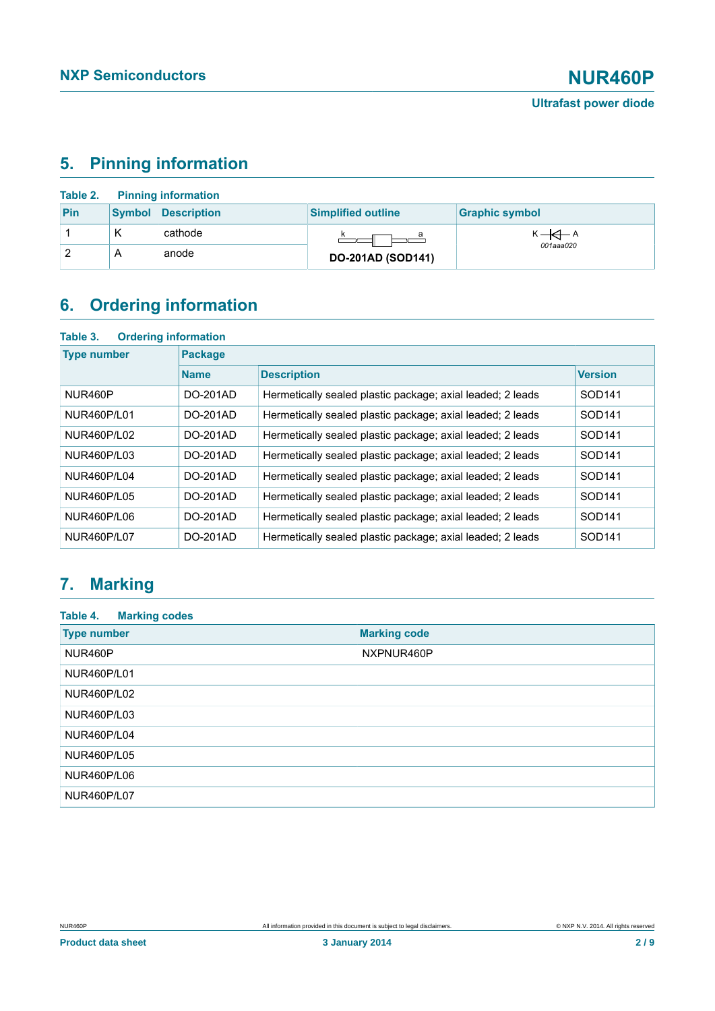# <span id="page-1-0"></span>**5. Pinning information**

|     |   | <b>Table 2.</b> Pinning information |                           |                       |
|-----|---|-------------------------------------|---------------------------|-----------------------|
| Pin |   | <b>Symbol Description</b>           | <b>Simplified outline</b> | <b>Graphic symbol</b> |
|     | Κ | cathode                             |                           | $K \rightarrow A$     |
|     | Α | anode                               | <b>DO-201AD (SOD141)</b>  | 001aaa020             |

# <span id="page-1-1"></span>**6. Ordering information**

| Table 3.<br><b>Ordering information</b> |                |                                                            |                    |  |  |  |  |
|-----------------------------------------|----------------|------------------------------------------------------------|--------------------|--|--|--|--|
| <b>Type number</b>                      | <b>Package</b> |                                                            |                    |  |  |  |  |
|                                         | <b>Name</b>    | <b>Description</b>                                         | <b>Version</b>     |  |  |  |  |
| NUR460P                                 | DO-201AD       | Hermetically sealed plastic package; axial leaded; 2 leads | SOD <sub>141</sub> |  |  |  |  |
| NUR460P/L01                             | DO-201AD       | Hermetically sealed plastic package; axial leaded; 2 leads | SOD <sub>141</sub> |  |  |  |  |
| NUR460P/L02                             | DO-201AD       | Hermetically sealed plastic package; axial leaded; 2 leads | SOD <sub>141</sub> |  |  |  |  |
| NUR460P/L03                             | $DO-201AD$     | Hermetically sealed plastic package; axial leaded; 2 leads | SOD <sub>141</sub> |  |  |  |  |
| NUR460P/L04                             | DO-201AD       | Hermetically sealed plastic package; axial leaded; 2 leads | SOD <sub>141</sub> |  |  |  |  |
| NUR460P/L05                             | DO-201AD       | Hermetically sealed plastic package; axial leaded; 2 leads | SOD <sub>141</sub> |  |  |  |  |
| NUR460P/L06                             | DO-201AD       | Hermetically sealed plastic package; axial leaded; 2 leads | SOD <sub>141</sub> |  |  |  |  |
| NUR460P/L07                             | DO-201AD       | Hermetically sealed plastic package; axial leaded; 2 leads | SOD141             |  |  |  |  |

# <span id="page-1-2"></span>**7. Marking**

| <b>Marking codes</b><br>Table 4. |                     |
|----------------------------------|---------------------|
| <b>Type number</b>               | <b>Marking code</b> |
| NUR460P                          | NXPNUR460P          |
| <b>NUR460P/L01</b>               |                     |
| <b>NUR460P/L02</b>               |                     |
| NUR460P/L03                      |                     |
| NUR460P/L04                      |                     |
| <b>NUR460P/L05</b>               |                     |
| NUR460P/L06                      |                     |
| <b>NUR460P/L07</b>               |                     |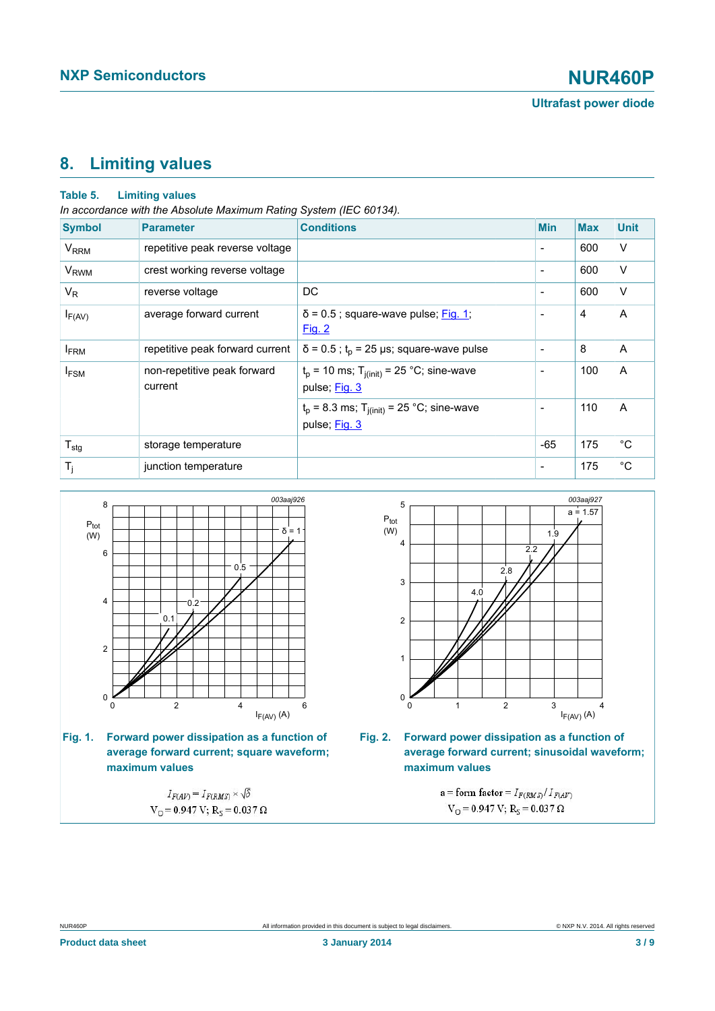## <span id="page-2-2"></span>**8. Limiting values**

### **Table 5. Limiting values**

*In accordance with the Absolute Maximum Rating System (IEC 60134).*

| <b>Symbol</b>          | <b>Parameter</b>                       | <b>Conditions</b>                                                        | <b>Min</b>               | <b>Max</b> | <b>Unit</b>    |
|------------------------|----------------------------------------|--------------------------------------------------------------------------|--------------------------|------------|----------------|
| <b>V<sub>RRM</sub></b> | repetitive peak reverse voltage        |                                                                          | $\overline{\phantom{a}}$ | 600        | V              |
| <b>V<sub>RWM</sub></b> | crest working reverse voltage          |                                                                          | $\overline{\phantom{a}}$ | 600        | V              |
| $V_R$                  | reverse voltage                        | DC                                                                       | $\overline{\phantom{a}}$ | 600        | V              |
| $I_{F(AV)}$            | average forward current                | $\delta$ = 0.5; square-wave pulse; Fig. 1;<br>Fig. 2                     | $\overline{\phantom{a}}$ | 4          | A              |
| <b>IFRM</b>            | repetitive peak forward current        | $\delta$ = 0.5; t <sub>p</sub> = 25 µs; square-wave pulse                | $\overline{\phantom{a}}$ | 8          | $\overline{A}$ |
| $I_{FSM}$              | non-repetitive peak forward<br>current | $t_p$ = 10 ms; T <sub>i(init)</sub> = 25 °C; sine-wave<br>pulse; Fig. 3  | $\overline{\phantom{a}}$ | 100        | A              |
|                        |                                        | $t_p$ = 8.3 ms; T <sub>j(init)</sub> = 25 °C; sine-wave<br>pulse; Fig. 3 | $\overline{\phantom{a}}$ | 110        | A              |
| $T_{\text{stg}}$       | storage temperature                    |                                                                          | $-65$                    | 175        | $^{\circ}C$    |
| $T_j$                  | junction temperature                   |                                                                          | $\overline{\phantom{a}}$ | 175        | $^{\circ}C$    |

<span id="page-2-0"></span>

**Fig. 1. Forward power dissipation as a function of average forward current; square waveform; maximum values**

 $I_{F(AV)} = I_{F(RMS)} \times \sqrt{\delta}$  $V_O = 0.947 V; R_S = 0.037 \Omega$ 

<span id="page-2-1"></span>



a = form factor =  $I_{F(RMS)}/I_{F(AV)}$  $V_O = 0.947 V; R_S = 0.037 \Omega$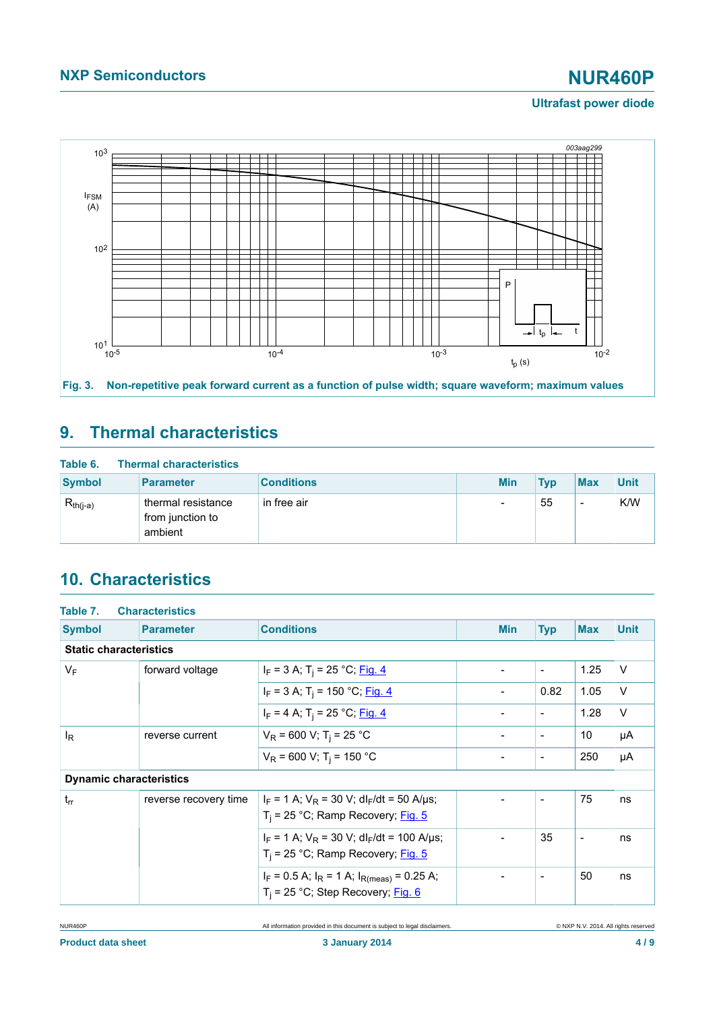### **Ultrafast power diode**

<span id="page-3-0"></span>

# <span id="page-3-1"></span>**9. Thermal characteristics**

| Table 6.      | <b>Thermal characteristics</b>                    |                   |  |            |            |                          |             |
|---------------|---------------------------------------------------|-------------------|--|------------|------------|--------------------------|-------------|
| <b>Symbol</b> | <b>Parameter</b>                                  | <b>Conditions</b> |  | <b>Min</b> | <b>Tvp</b> | <b>Max</b>               | <b>Unit</b> |
| $R_{th(i-a)}$ | thermal resistance<br>from junction to<br>ambient | in free air       |  | -          | 55         | $\overline{\phantom{0}}$ | K/W         |

# <span id="page-3-2"></span>**10. Characteristics**

| Table 7.                       | <b>Characteristics</b>                 |                                                                                                    |                          |                          |                          |             |
|--------------------------------|----------------------------------------|----------------------------------------------------------------------------------------------------|--------------------------|--------------------------|--------------------------|-------------|
| <b>Symbol</b>                  | <b>Parameter</b>                       | <b>Conditions</b>                                                                                  | <b>Min</b>               | <b>Typ</b>               | <b>Max</b>               | <b>Unit</b> |
| <b>Static characteristics</b>  |                                        |                                                                                                    |                          |                          |                          |             |
| $V_F$<br>forward voltage       |                                        | $I_F$ = 3 A; T <sub>i</sub> = 25 °C; <u>Fig. 4</u>                                                 | $\overline{\phantom{a}}$ | $\overline{\phantom{a}}$ | 1.25                     | $\vee$      |
|                                |                                        | $I_F$ = 3 A; T <sub>i</sub> = 150 °C; Fig. 4                                                       |                          | 0.82                     | 1.05                     | $\vee$      |
|                                |                                        | $I_F$ = 4 A; T <sub>i</sub> = 25 °C; Fig. 4                                                        | $\overline{\phantom{a}}$ | $\overline{\phantom{a}}$ | 1.28                     | $\vee$      |
| lŖ                             | reverse current                        | $V_R$ = 600 V; T <sub>i</sub> = 25 °C                                                              | $\blacksquare$           | $\overline{\phantom{a}}$ | 10                       | μA          |
|                                | $V_R$ = 600 V; T <sub>i</sub> = 150 °C | $\blacksquare$                                                                                     | $\overline{\phantom{a}}$ | 250                      | μA                       |             |
| <b>Dynamic characteristics</b> |                                        |                                                                                                    |                          |                          |                          |             |
| $t_{rr}$                       | reverse recovery time                  | $I_F$ = 1 A; $V_R$ = 30 V; dl <sub>F</sub> /dt = 50 A/µs;<br>$T_i$ = 25 °C; Ramp Recovery; Fig. 5  |                          | $\overline{\phantom{a}}$ | 75                       | ns          |
|                                |                                        | $I_F$ = 1 A; $V_R$ = 30 V; dl <sub>F</sub> /dt = 100 A/µs;<br>$T_i$ = 25 °C; Ramp Recovery; Fig. 5 | $\blacksquare$           | 35                       | $\overline{\phantom{a}}$ | ns          |
|                                |                                        | $I_F = 0.5$ A; $I_R = 1$ A; $I_{R(meas)} = 0.25$ A;<br>$T_i$ = 25 °C; Step Recovery; Fig. 6        |                          | $\overline{a}$           | 50                       | ns          |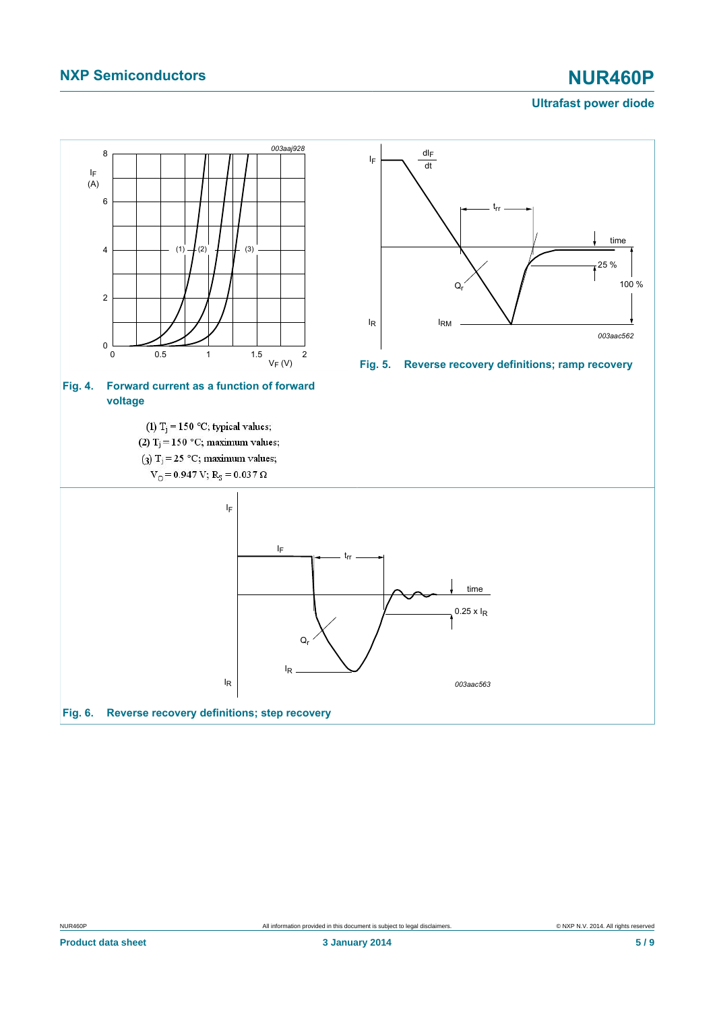# **NXP Semiconductors NUR460P**

### <span id="page-4-1"></span>**Ultrafast power diode**

<span id="page-4-2"></span><span id="page-4-0"></span>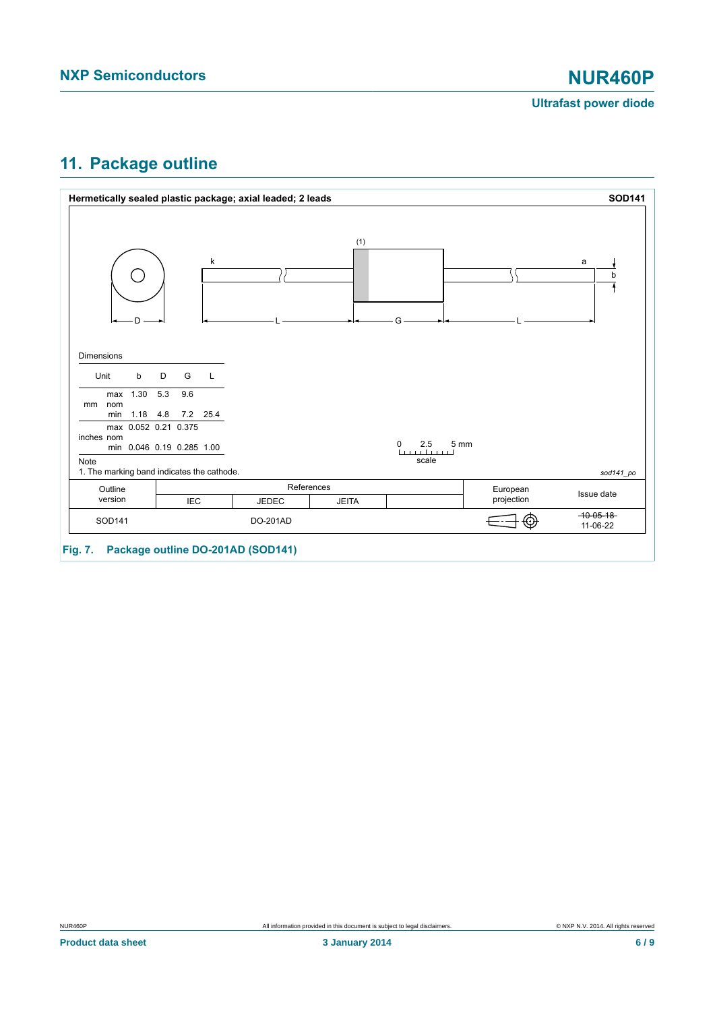

**Ultrafast power diode**

## <span id="page-5-0"></span>**11. Package outline**



**Fig. 7. Package outline DO-201AD (SOD141)**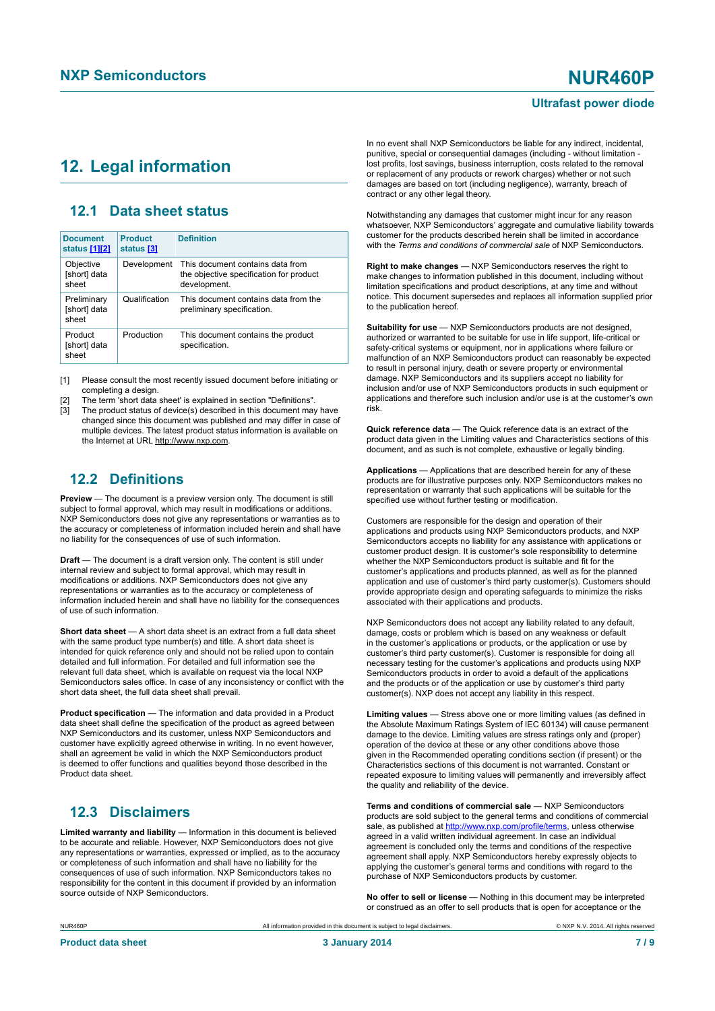### **Ultrafast power diode**

## <span id="page-6-1"></span><span id="page-6-0"></span>**12. Legal information**

### <span id="page-6-2"></span>**12.1 Data sheet status**

| <b>Document</b><br>status [1][2]     | <b>Product</b><br>status [3] | <b>Definition</b>                                                                           |
|--------------------------------------|------------------------------|---------------------------------------------------------------------------------------------|
| Objective<br>[short] data<br>sheet   | Development                  | This document contains data from<br>the objective specification for product<br>development. |
| Preliminary<br>[short] data<br>sheet | Qualification                | This document contains data from the<br>preliminary specification.                          |
| Product<br>[short] data<br>sheet     | Production                   | This document contains the product<br>specification.                                        |

[1] Please consult the most recently issued document before initiating or completing a design.

[2] The term 'short data sheet' is explained in section "Definitions".

The product status of device(s) described in this document may have changed since this document was published and may differ in case of multiple devices. The latest product status information is available on the Internet at URL http://www.nxp.com.

## <span id="page-6-3"></span>**12.2 Definitions**

**Preview** — The document is a preview version only. The document is still subject to formal approval, which may result in modifications or additions. NXP Semiconductors does not give any representations or warranties as to the accuracy or completeness of information included herein and shall have no liability for the consequences of use of such information.

**Draft** — The document is a draft version only. The content is still under internal review and subject to formal approval, which may result in modifications or additions. NXP Semiconductors does not give any representations or warranties as to the accuracy or completeness of information included herein and shall have no liability for the consequences of use of such information.

**Short data sheet** — A short data sheet is an extract from a full data sheet with the same product type number(s) and title. A short data sheet is intended for quick reference only and should not be relied upon to contain detailed and full information. For detailed and full information see the relevant full data sheet, which is available on request via the local NXP Semiconductors sales office. In case of any inconsistency or conflict with the short data sheet, the full data sheet shall prevail.

**Product specification** — The information and data provided in a Product data sheet shall define the specification of the product as agreed between NXP Semiconductors and its customer, unless NXP Semiconductors and customer have explicitly agreed otherwise in writing. In no event however, shall an agreement be valid in which the NXP Semiconductors product is deemed to offer functions and qualities beyond those described in the Product data sheet.

## <span id="page-6-4"></span>**12.3 Disclaimers**

**Limited warranty and liability** — Information in this document is believed to be accurate and reliable. However, NXP Semiconductors does not give any representations or warranties, expressed or implied, as to the accuracy or completeness of such information and shall have no liability for the consequences of use of such information. NXP Semiconductors takes no responsibility for the content in this document if provided by an information source outside of NXP Semiconductors.

In no event shall NXP Semiconductors be liable for any indirect, incidental, punitive, special or consequential damages (including - without limitation lost profits, lost savings, business interruption, costs related to the removal or replacement of any products or rework charges) whether or not such damages are based on tort (including negligence), warranty, breach of contract or any other legal theory.

Notwithstanding any damages that customer might incur for any reason whatsoever, NXP Semiconductors' aggregate and cumulative liability towards customer for the products described herein shall be limited in accordance with the *Terms and conditions of commercial sale* of NXP Semiconductors.

**Right to make changes** — NXP Semiconductors reserves the right to make changes to information published in this document, including without limitation specifications and product descriptions, at any time and without notice. This document supersedes and replaces all information supplied prior to the publication hereof.

**Suitability for use** — NXP Semiconductors products are not designed, authorized or warranted to be suitable for use in life support, life-critical or safety-critical systems or equipment, nor in applications where failure or malfunction of an NXP Semiconductors product can reasonably be expected to result in personal injury, death or severe property or environmental damage. NXP Semiconductors and its suppliers accept no liability for inclusion and/or use of NXP Semiconductors products in such equipment or applications and therefore such inclusion and/or use is at the customer's own risk.

**Quick reference data** — The Quick reference data is an extract of the product data given in the Limiting values and Characteristics sections of this document, and as such is not complete, exhaustive or legally binding.

**Applications** — Applications that are described herein for any of these products are for illustrative purposes only. NXP Semiconductors makes no representation or warranty that such applications will be suitable for the specified use without further testing or modification.

Customers are responsible for the design and operation of their applications and products using NXP Semiconductors products, and NXP Semiconductors accepts no liability for any assistance with applications or customer product design. It is customer's sole responsibility to determine whether the NXP Semiconductors product is suitable and fit for the customer's applications and products planned, as well as for the planned application and use of customer's third party customer(s). Customers should provide appropriate design and operating safeguards to minimize the risks associated with their applications and products.

NXP Semiconductors does not accept any liability related to any default, damage, costs or problem which is based on any weakness or default in the customer's applications or products, or the application or use by customer's third party customer(s). Customer is responsible for doing all necessary testing for the customer's applications and products using NXP Semiconductors products in order to avoid a default of the applications and the products or of the application or use by customer's third party customer(s). NXP does not accept any liability in this respect.

**Limiting values** — Stress above one or more limiting values (as defined in the Absolute Maximum Ratings System of IEC 60134) will cause permanent damage to the device. Limiting values are stress ratings only and (proper) operation of the device at these or any other conditions above those given in the Recommended operating conditions section (if present) or the Characteristics sections of this document is not warranted. Constant or repeated exposure to limiting values will permanently and irreversibly affect the quality and reliability of the device.

**Terms and conditions of commercial sale** — NXP Semiconductors products are sold subject to the general terms and conditions of commercial sale, as published at<http://www.nxp.com/profile/terms>, unless otherwise agreed in a valid written individual agreement. In case an individual agreement is concluded only the terms and conditions of the respective agreement shall apply. NXP Semiconductors hereby expressly objects to applying the customer's general terms and conditions with regard to the purchase of NXP Semiconductors products by customer.

**No offer to sell or license** — Nothing in this document may be interpreted or construed as an offer to sell products that is open for acceptance or the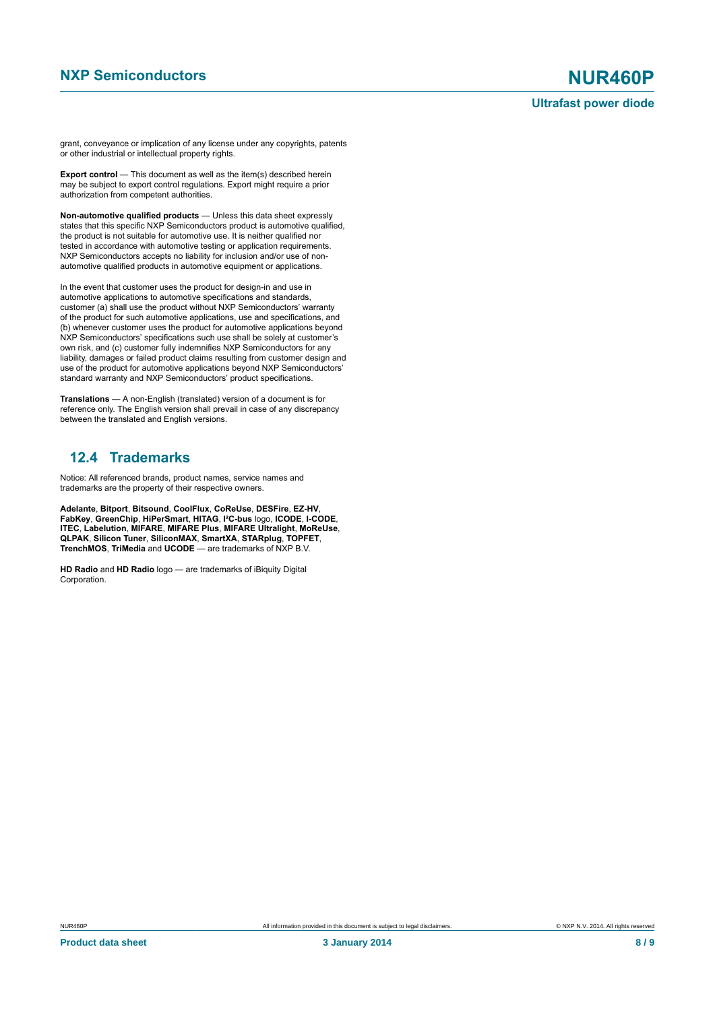grant, conveyance or implication of any license under any copyrights, patents or other industrial or intellectual property rights.

**Export control** — This document as well as the item(s) described herein may be subject to export control regulations. Export might require a prior authorization from competent authorities.

**Non-automotive qualified products** — Unless this data sheet expressly states that this specific NXP Semiconductors product is automotive qualified, the product is not suitable for automotive use. It is neither qualified nor tested in accordance with automotive testing or application requirements. NXP Semiconductors accepts no liability for inclusion and/or use of nonautomotive qualified products in automotive equipment or applications.

In the event that customer uses the product for design-in and use in automotive applications to automotive specifications and standards, customer (a) shall use the product without NXP Semiconductors' warranty of the product for such automotive applications, use and specifications, and (b) whenever customer uses the product for automotive applications beyond NXP Semiconductors' specifications such use shall be solely at customer's own risk, and (c) customer fully indemnifies NXP Semiconductors for any liability, damages or failed product claims resulting from customer design and use of the product for automotive applications beyond NXP Semiconductors' standard warranty and NXP Semiconductors' product specifications.

**Translations** — A non-English (translated) version of a document is for reference only. The English version shall prevail in case of any discrepancy between the translated and English versions.

## <span id="page-7-0"></span>**12.4 Trademarks**

Notice: All referenced brands, product names, service names and trademarks are the property of their respective owners.

**Adelante**, **Bitport**, **Bitsound**, **CoolFlux**, **CoReUse**, **DESFire**, **EZ-HV**, **FabKey**, **GreenChip**, **HiPerSmart**, **HITAG**, **I²C-bus** logo, **ICODE**, **I-CODE**, **ITEC**, **Labelution**, **MIFARE**, **MIFARE Plus**, **MIFARE Ultralight**, **MoReUse**, **QLPAK**, **Silicon Tuner**, **SiliconMAX**, **SmartXA**, **STARplug**, **TOPFET**, **TrenchMOS**, **TriMedia** and **UCODE** — are trademarks of NXP B.V.

**HD Radio** and **HD Radio** logo — are trademarks of iBiquity Digital Corporation.